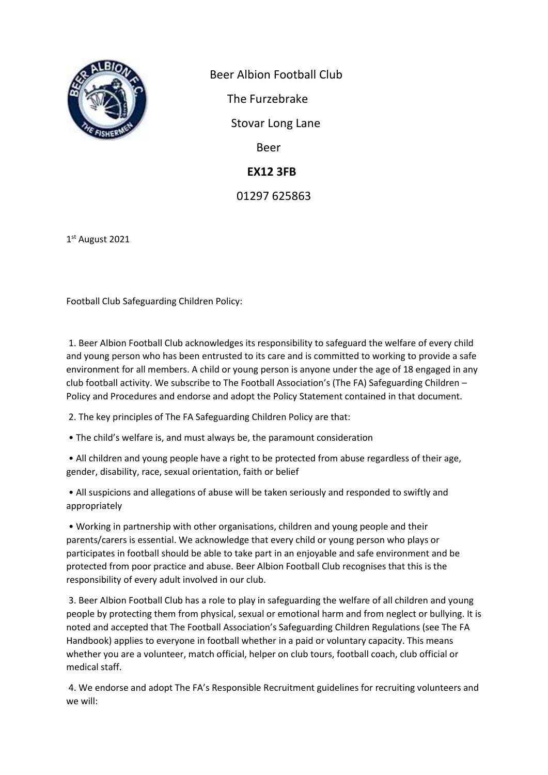

 Beer Albion Football Club The Furzebrake Stovar Long Lane Beer  **EX12 3FB** 01297 625863

1 st August 2021

Football Club Safeguarding Children Policy:

1. Beer Albion Football Club acknowledges its responsibility to safeguard the welfare of every child and young person who has been entrusted to its care and is committed to working to provide a safe environment for all members. A child or young person is anyone under the age of 18 engaged in any club football activity. We subscribe to The Football Association's (The FA) Safeguarding Children – Policy and Procedures and endorse and adopt the Policy Statement contained in that document.

2. The key principles of The FA Safeguarding Children Policy are that:

• The child's welfare is, and must always be, the paramount consideration

• All children and young people have a right to be protected from abuse regardless of their age, gender, disability, race, sexual orientation, faith or belief

• All suspicions and allegations of abuse will be taken seriously and responded to swiftly and appropriately

• Working in partnership with other organisations, children and young people and their parents/carers is essential. We acknowledge that every child or young person who plays or participates in football should be able to take part in an enjoyable and safe environment and be protected from poor practice and abuse. Beer Albion Football Club recognises that this is the responsibility of every adult involved in our club.

3. Beer Albion Football Club has a role to play in safeguarding the welfare of all children and young people by protecting them from physical, sexual or emotional harm and from neglect or bullying. It is noted and accepted that The Football Association's Safeguarding Children Regulations (see The FA Handbook) applies to everyone in football whether in a paid or voluntary capacity. This means whether you are a volunteer, match official, helper on club tours, football coach, club official or medical staff.

4. We endorse and adopt The FA's Responsible Recruitment guidelines for recruiting volunteers and we will: